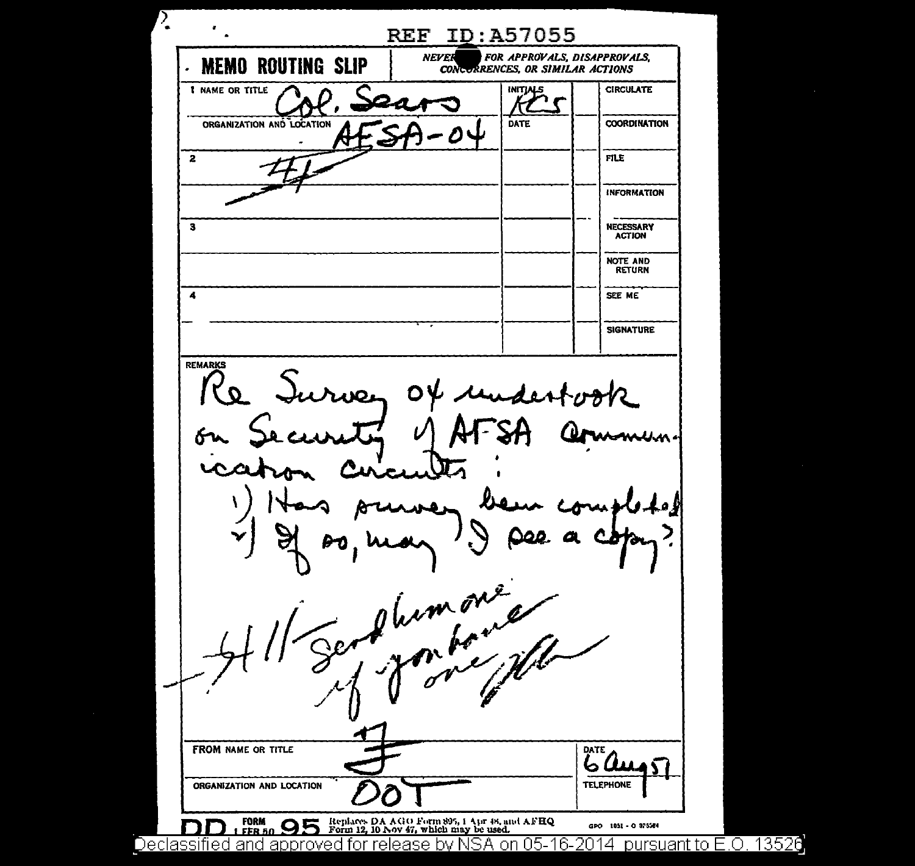$\bullet$ **REF ID: A57055** VER FOR APPROVALS, DISAPPROVALS,<br>CONCORRENCES, OR SIMILAR ACTIONS NEVER **MEMO ROUTING SLIP** INITIALS **CIRCULATE 1 NAME OR TITLE** DATE **COORDINATION** ORGANIZATION AND LOCATION  $\overline{2}$ **FILE INFORMATION** ່າ **NECESSARY ACTION NOTE AND RETURN**  $\overline{\mathbf{A}}$ SEE ME **SIGNATURE** REMARKS  $R_{\mathbf{\Omega}}$ irven ΟV plumont  $\overline{\mathbb{C}}$ **FROM NAME OR TITLE** DATE ،سا ہ 4Ŝ ORGANIZATION AND LOCATION **TELEPHONE** Replaces DA AGO Form 895, 1 Apr 48, and AFHQ<br>Form 12, 10 Nov 47, which may be used. **FORM**<br>FER 50  $\bullet$ GPO 1051 - 0 975564 <u>Declassified and approved for release by NSA on 05-16-2014  $\,$  pursuant to E.O. 13526</u>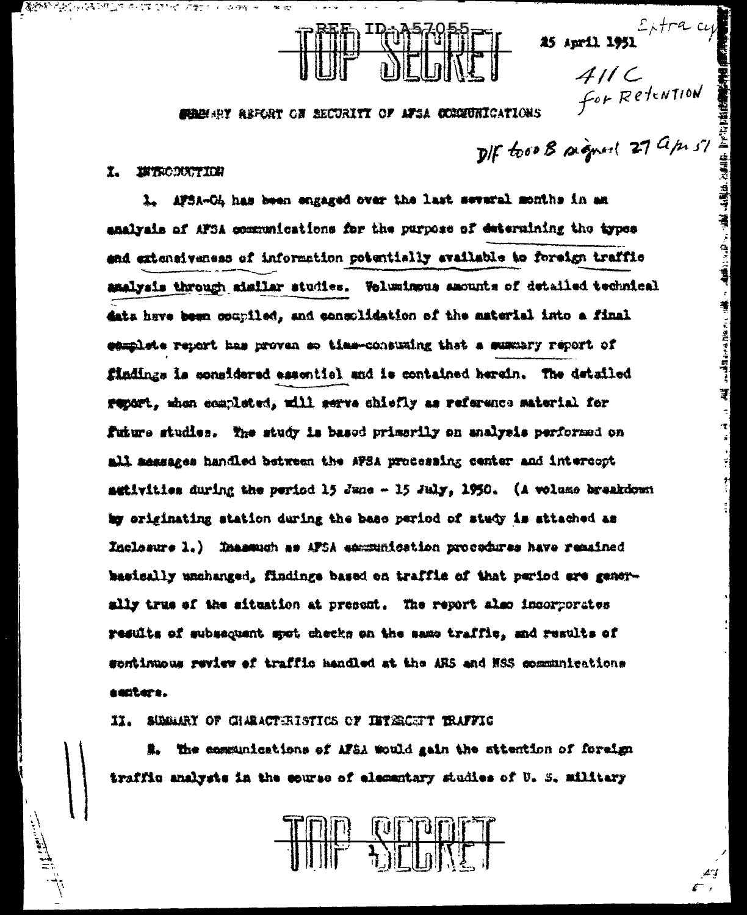$\frac{1}{2}$ 

 $\boldsymbol{r}$ 

### SHAHARY REFORT ON RECURITY OF AFSA COMMUNICATIONS

DIF too B signed 27 apr 5%

#### $\mathbf{r}$ **INTRODUCTION**

**WERE A STORED AND THE TIME OF A SIMPLE** 

15 april 1951<br>  $4//C$ <br>
5  $6/3$  Retention<br>
8  $27$   $4/h$   $5$ <br>
16  $8$   $9$   $9$   $10$   $10$   $10$ <br>
17  $27$   $4/h$   $5$ <br>
17  $\frac{100}{3}$ <br>
17  $\frac{100}{3}$ <br>
17  $\frac{100}{3}$ <br>
17  $\frac{100}{3}$ <br>
17  $\frac{100}{3}$ <br>
17  $\frac{100}{3}$ <br>
17  $\frac{100}{3}$ <br>
17 AFSA-OL has been engaged over the last several months in an  $\mathbf{L}$ analysis of AFSA communications for the purpose of determining the types and extensiveness of information potentially available to foreign traffic amalysis through similar studies. Voluminous amounts of detailed technical data have been opupiled, and consolidation of the material into a final eamplete report has proven so time-consuming that a summary report of findings is sonsidered essential and is contained herein. The detailed report, shen completed, will serve chiefly as reference material for future studies. The study is based primarily on analysis performed on all messages handled between the AFSA processing center and intercopt setivities during the period 15 June - 15 July, 1950. (A volume breakdown by originating station during the base period of study is attached as Inclosure 1.) Inassum as AFSA economication procedures have remained basically unchanged, findings based on traffic of that period are generslly true of the situation at prepent. The report also incorporates results of subsequent spot checks on the same traffic, and results of sontinuous review of traffic handled at the ARS and NSS communications aunters.

#### II. SUMMAY OF GIMEACTERISTICS OF INTERCENT TRAFFIC

#. The communications of AFSA would gain the sttention of foreign traffic analysts in the course of elementary studies of U. S. military

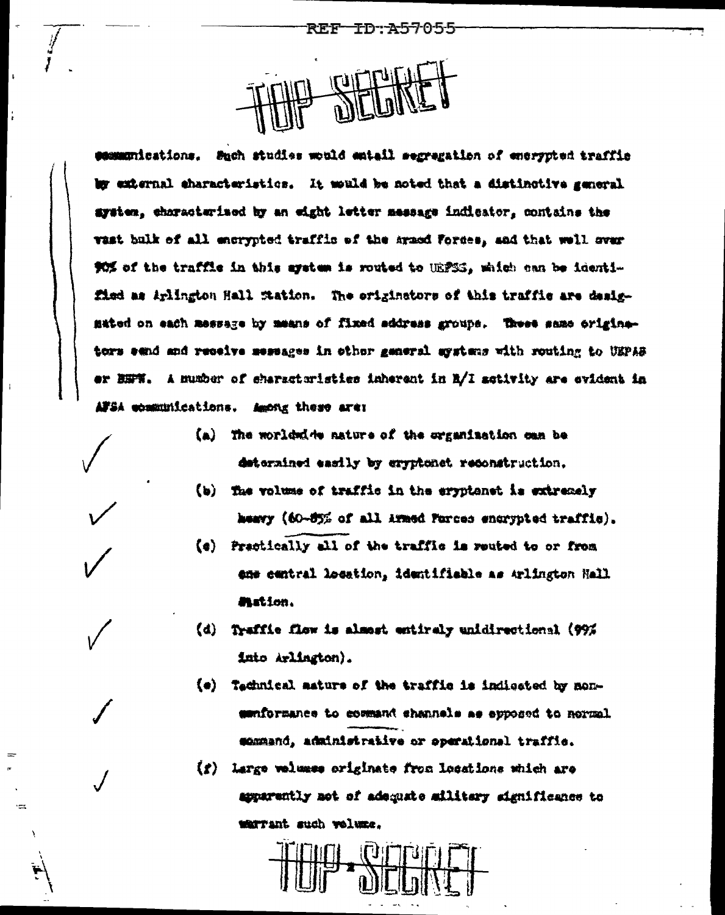communications. Such studies would emtail segregation of entrypted traffic by external eharacteristics. It would be noted that a distinctive general system, characterized by an eight letter message indicator, contains the vast bulk of all encrypted traffic of the armed Forces, and that well over 90% of the traffic in this system is routed to UEPSS, which can be identified as Arlington Hall Station. The originators of this traffic are desigmated on each message by means of fixed address groups. These same originators send and receive messages in other general systems with routing to UEPAS er BHFW. A mumber of eharacteristies inherent in B/I setivity are evident in AFSA epakunications. Among these are:

- (a) The worldwide nature of the organization can be determined easily by eryphonet reconstruction.
- (b) The volume of traffic in the eryptenet is extremely heavy (60-85% of all Armed Forces encrypted traffic).
- (e) Practically all of the traffic is reuted to or from ene central location, identifiable as Arlington Hall **Mation.**
- Traffic flow is almost entirely unidirectional (99%)  $(d)$ into Arlington).
- (e) Technical mature of the traffic is indicated by monsenformance to command shannels as apposed to normal command, administrative or operational traffic.
- (f) Large velumes originate from locations which are apparently not of adequate military significance to warrant such velwme.



÷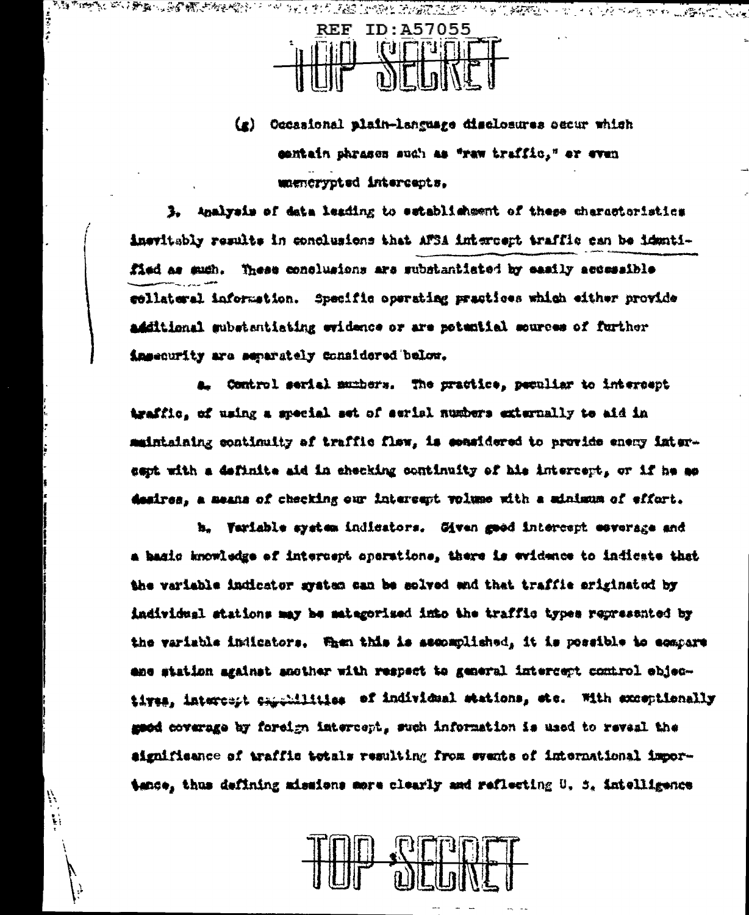

(g) Occasional plain-language disclosures secur which contain phrases such as "raw traffic," or even magnerypted intercents.

3. Analysis of data leading to establishment of these charactoristics inevitably results in conclusions that AFSA intercept traffic can be identified as such. These conclusions are substantiated by easily accessible collateral information. Specific operating practices which either provide additional substantiating evidence or are potential sources of further insecurity are separately considered below.

a. Control serial mumbers. The practice, peculiar to intercept traffic, of using a special set of serial numbers externally to aid in maintaining continuity of traffic flow, is considered to provide enery intersapt with a definite aid in checking continuity of his intercept, or if he as desires, a means of checking our intercept volume with a minimum of effort.

h. Variable system indicators. Given good intercept esverage and a basic knowledge of intercept operations, there is evidence to indicate that the variable indicator system can be solved and that traffic originated by individual stations may be mategorised into the traffic types represented by the variable indicators. When this is assomplished, it is possible to sompare ane station against another with respect to general intercept comirol ebjectives, intercent cancellities of individual stations, etc. With exceptionally good coverage by foreign intercept, such information is used to reveal the aignificance of traffic totals resulting from events of international importance, thus defining missions more clearly and reflecting U, S, intelligence



il.  $\ddot{\cdot}$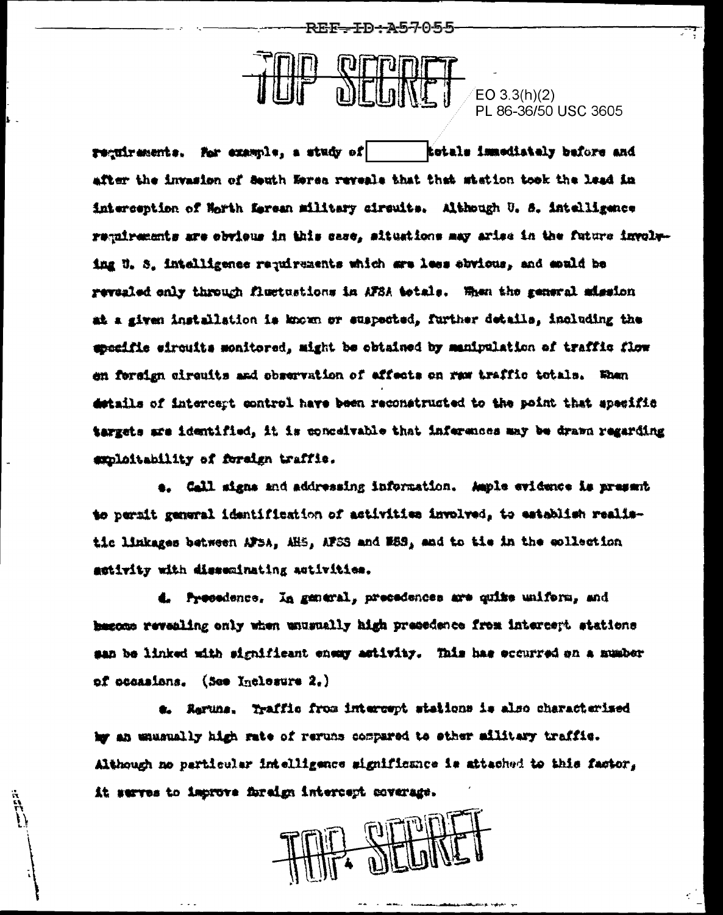REF—TD-A57055



 $EO 3.3(h)(2)$ PL 86-36/50 USC 3605

requirements. For example, a study of totals immediately before and after the invasion of South Esrsa reveals that that station took the lead in interception of Horth Kerean military circuits. Although U. S. intelligence regairements are obvious in this case, situations may arise in the future involuing U.S. intelligence requirements which are less abvious, and apuld be revealed only through fluctustions in AFSA totals. When the general mission at a given installation is known or suspected, further details, including the specific sircuits monitored, might be obtained by manipulation of traffic flow en fereign circuits and observation of effects on rew traffic totals. When details of intercept control have been reconstructed to the point that apseific targets are identified. it is concelvable that inferences may be drawn regarding suploitability of foreign traffic.

e. Call signs and addressing information. Ample evidence is present to permit general identification of activities involved, to establish realistic limkages between AFSA. AHS, AFSS and M58, and to tie in the collection activity with disseminating activities.

d. Precedence, In general, precedences are quite uniform, and begone revealing only when unusually high presedence from intercept stations san be linked with significant energy artivity. This has eccurred on a number of occasions. (See Inclesure 2.)

a. Raruns, Traffic from intercept stations is also characterised hy an unusually high rate of reruns compared to other military traffic. Although no particular intelligence mignificance is attached to this factor, it serves to improve foreign intercept coverage.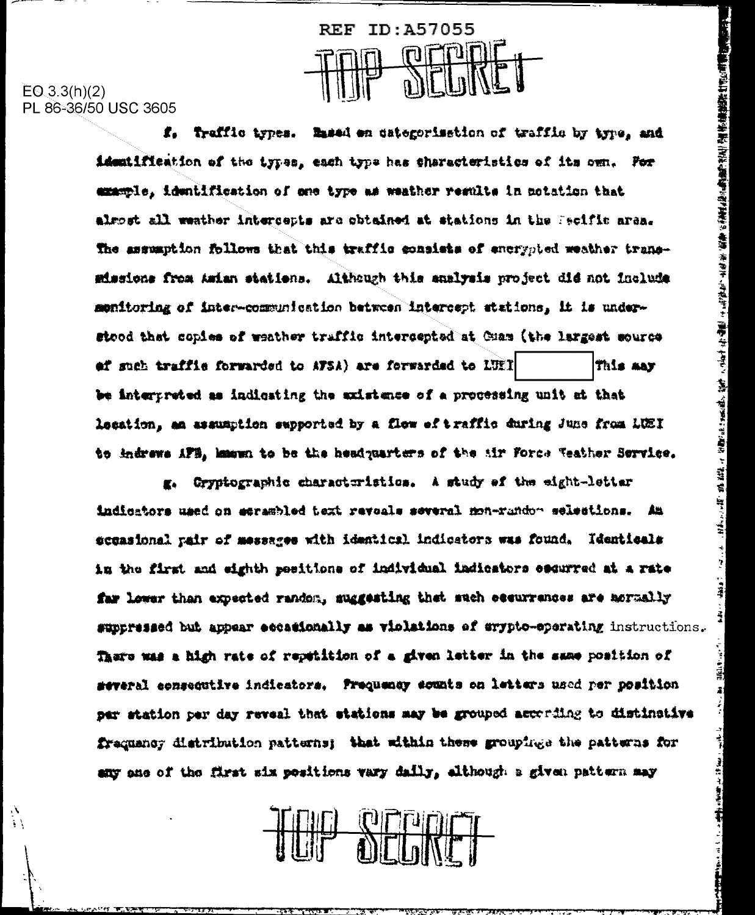

## $EO(3.3(h)(2)$ PL 86-36/50 USC 3605

 $\langle \cdot \rangle$ 

f. Traffic types. Based en categorisation of traffic by type, and identification of the types, each type has sharecteristics of its own. For example, identification of one type as weather regults in notation that almost all weather intercepts are obtained at stations in the Pecific area. The assumption follows that this traffic consists of energoted weather transmissione from Asian statiens. Although this analysis project did not include monitoring of inter-communication between intercept stations, it is understood that copies of weather traffic intercepted at Cuam (the largest source ef such traffic forwarded to AFSA) are forwarded to LUET This may be interpreted as indicating the axistence of a processing unit at that lesation, an assumption exprorted by a flow of traffic during June from LUEI to indrews AFB, hawwn to be the headquarters of the Mir Force Weather Service. į

364.7

يا بان ب

 $+$  34 kg  $+$ 

ŧ

g. Gryptographic characteristics. A study of the eight-letter indicators used on esrambled text revoals several mon-randon selections. 盐 sceasional pair of messages with identicsl indicators was found. Identicals in the first and eighth pesitions of individual indicators escurred at a rate far lower than expected random, suggesting that such essurrances are mormally suppressed but appear eccationally as violations of crypto-operating instructions. There was a high rate of repetition of a given letter in the same position of several consequiive indicators. Prequency sounts on letters used per position per station per day reveal that stations may be grouped according to distinctive frequency distribution patterns; that within these groupings the patterns for any ans of the first six positions vary daily, although a given pattern may

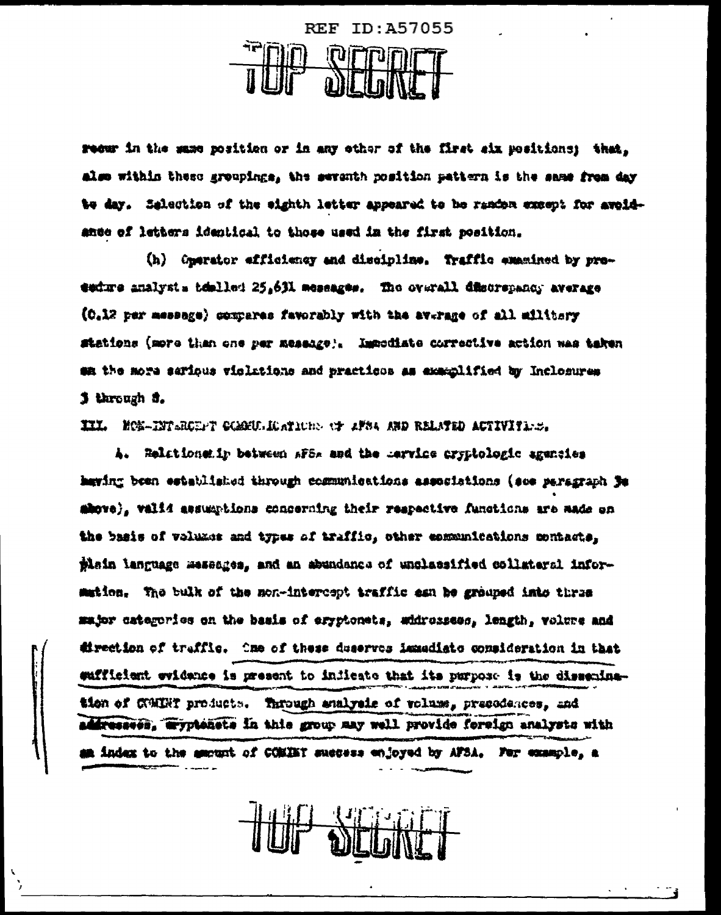

recur in the same position or in any other of the first six positions: that. also within these groupings, the seventh position pattern is the same from day to day. Salection of the eighth letter appeared to be random except for avoidance of letters identical to those used in the first position.

(h) Onerator efficiency and discipline. Traffic examined by proesture analysts temlled 25,631 measages. The overall discrepancy average (0.12 per message) compares favorably with the average of all military stations (more than one per message). Immodiate corrective action was taken en the more serious violations and practicos as examplified by Inclosures 3 through 3.

III. HOS-INTERCEPT COMOULDATION: OF 2FS4 AND RELATED ACTIVITIES.

A. Relationenir between AFSA and the Lervice cryptologic agencies haying been established through cosmunications associations (see paragraph De above), valid assumptions concerning their respective functions are made on the basis of volumes and types of traffic, other communications contacts. thain language messages, and an abundance of unclassified collateral information. The bulk of the mon-intercept traffic asn be grouped into three major categories on the basis of eryptonets, whirossess, length, volume and direction of traffic. One of these deserves lamadiate consideration in that sufficient evidence is present to indicate that its purpose is the disseningtion of COMBY products. Through enalysis of volume, presedences, and addressees, wyptenete in this group may well provide foreign analysts with am index to the amount of COMINT success enjoyed by AFSA. For example, a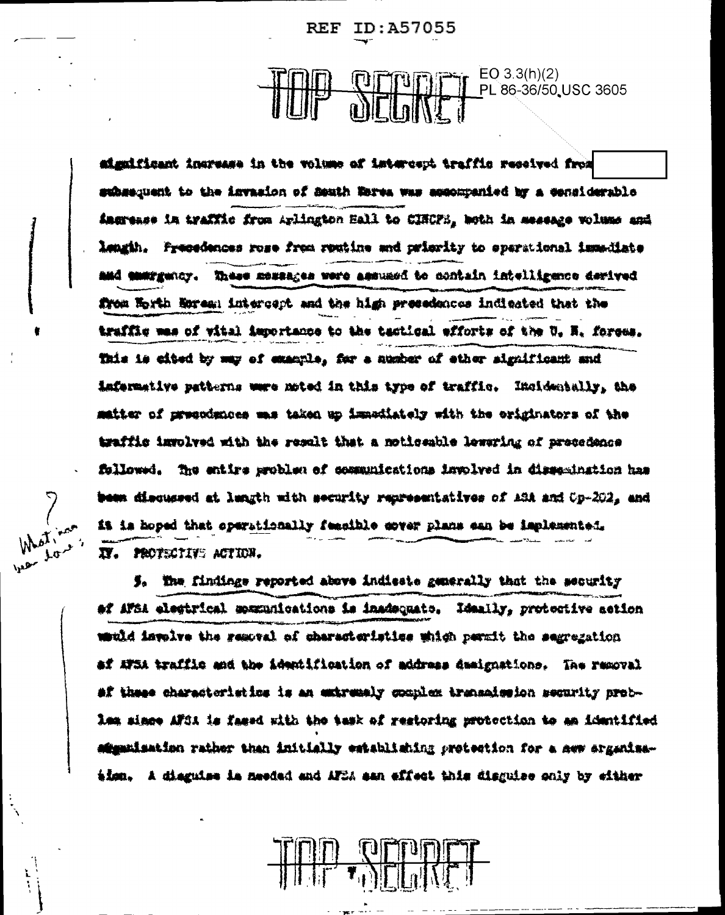REF ID:A57055

# $EO 3.3(h)(2)$ PL 86-36/50 USC 3605

significant increase in the volume of istercept traffic received from subsequent to the invasion of Seuth Weres was accompanied by a considerable ingrease in traffic from Arlington Ball to CINCPS, both in message volume and lengih. Freesdences rose from routine and prierity to sperational immediate and energency. These messages were assumed to contain intelligence derived from Horth Morem; intercept and the high presedences indicated that the traffic was of vital importance to the tactical efforts of the U. H. forces. This is cited by may of example, for a number of ether significant and imfermetive patterns were moted in this type of traffic. Incidentally, the matter of presodences mas taken up immediately with the originators of the traffic izrolved with the result that a noticeable lewaring of precedence followed. The entire problem of communications implyed in dissemination has been discussed at langth with security representatives of ASA and Op-202, and it is hoped that operationally femaible cover plans can be implemented. IV. PROTECTIVE ACTION.

5. The findings reported above indicate generally that the security af AFSA elegtrical spænnications is inadequate. Idaally, protective action usuld involve the resoval of characteristics which permit the segregation af XFSA traffic and the identification of address damignations. The removal af these characteristics is an extremaly couplex transaission security probles since AFSA is fased with the task of restoring protection to an identified afiganisation rather than initially establishing protection for a new arganisaiisu, A diaguise ia meedad and AFCA san effect this disguise only by either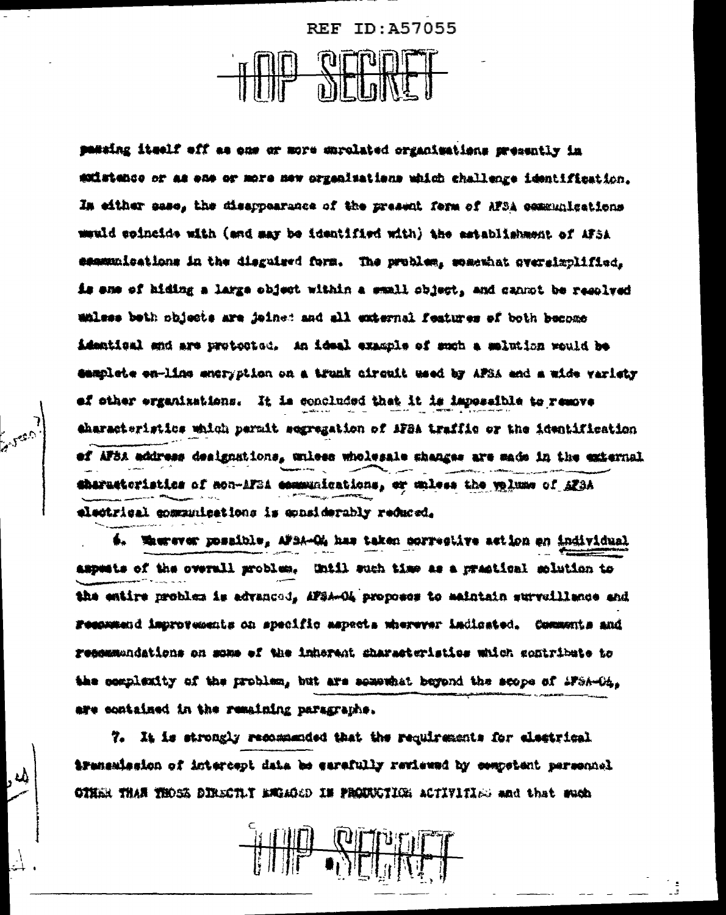**REF ID: A57055** 

patting itself off as one or more enrolated organizations presently in existence or as ene or more new organizations which challenge identification. In either case, the disappearance of the present ferm of AFSA communications wauld coincide with (and may be identified with) the astablishment of AFSA communications in the disguised form. The problem, somewhat oversizplified, is ane of hiding a large object within a small object, and cannot be resolved walses beth objects are joined and all external features of both become identical and are protocted. An ideal example of such a melution would be camplete en-lins ancryption on a trunk circuit used by APSA and a wide variety of other erganizations. It is concluded that it is impossible to remove characteristics which permit segregation of MFBA traffic or the identification ef AFSA address designations, unless wholesale shanges are made in the external theratteristics of mon-MT31 communications, or unless the yelume of AF3A electrical communications is epasiderably reduced.

é. Mussous posaible, AFBA-Ch has taken corrective action en individual aspects of the overall problem. Until such time as a practical solution to the entire problem is advanced, AFSA-O4 proposes to maintain surveillance and Feepwand improvements on specific aspects wherever indicated. Comments and resemmendations on some of the inherent sharasteristics which contribute to the complexity of the problem, but are somewhat beyond the scope of iFSA-O4. are contained in the remaining paragraphs.

7. It is strongly recommended that the requirements for electrical iransalssion of intercept data be earsfully reviewed by competent personnel OTHER THAN THOSE DIRECTLY EMIGLICD IN PROUNCTION ACTIVITIES and that much

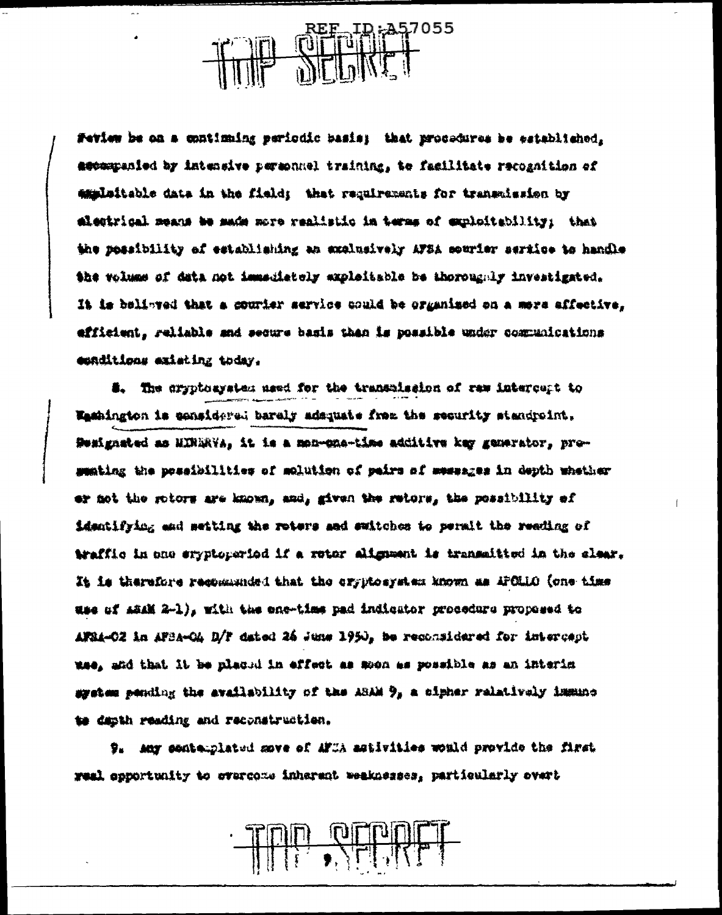57055

Feview he on a continuing periodic basis; that procedures he established, assempanied by intensive permonnel training, to facilitate recognition of emplaitable data in the field; that requirements for transmission by alestrical means be made more realistic in terms of exploitability; that the possibility of establishing an exclusively AFSA sourier sertice to handle the volume of data not immediately exploitable be thoroughly investigated. It is belinged that a courier service could be organized on a mere affective, efficient, reliable and secure basis than is possible under communications esnditions existing today.

#. The cryptoaystem used for the transmission of raw intercupt to Washington is considered baraly administ frem the security standroint. Semignated as HINDRYA, it is a mon-che-time additive key generator, prosemiing the possibilities of molution of peirs of messages in depth whether er not the rotors are known, and, given the retors, the possibility of identifying and setting the roters and switches to permit the reading of traffic in one eryptoperiod if a rotor alignment is transmitted in the slear. It is therefore resomminged that the eryptosystem known as APOLLO (one time use of ASAM 2-1), with the ene-time pad indicator procedure proposed to AFRA-CZ in AFBA-CA D/F dated 26 June 1950, he reconsidered for intercast mae, and that it he placud in effect as moon as possible as an interim system pending the availability of the ASAM  $\theta_s$  a cipher relatively immuno te dapth reading and reconstruction.

9. Any santemplated move of AFIA astivities would provide the first weel opportunity to evercome inherent weeknesses, particularly overt

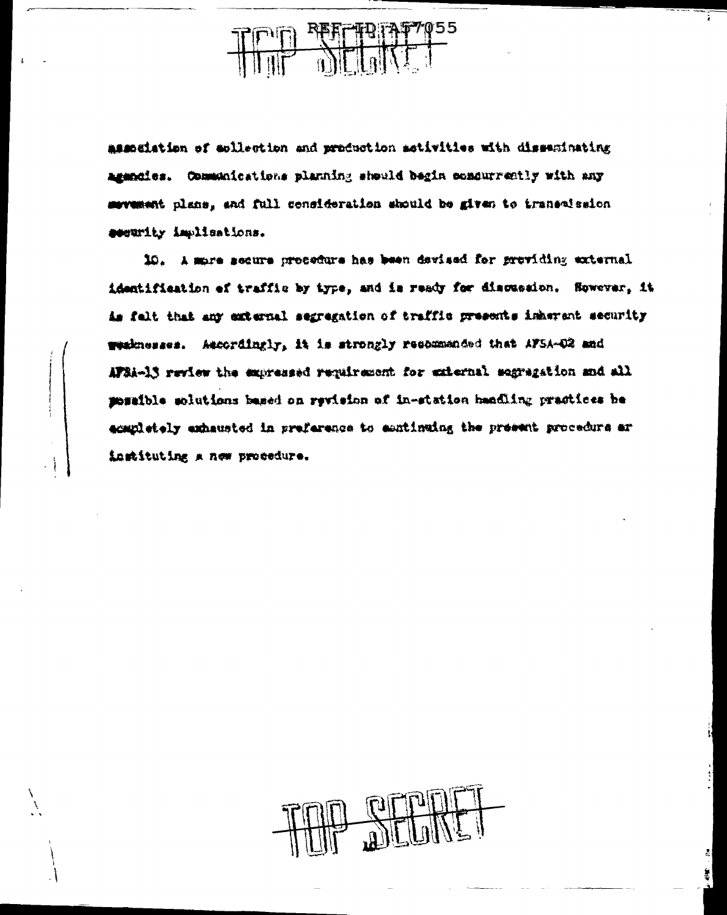$\frac{R^2}{2}$ 

association of esllection and production sotivities with dissusinating agencies. Communications planning should begin condurrently with any sevement plans, and full consideration should be given to transmission sesurity implications.

10. A more secure procedure has been davised for providing external identification of traffic by type, and is ready for discussion. Sowever, it is falt that any external segregation of traffic presents inherent security weaknesses. Ascordingly, it is strongly recommended that AFSA-02 and APSA-13 review the expressed requirement for external segregation and all possible solutions based on revision of in-station handling practices be acapletely exhausted in preference to eantinuing the present procedure ar instituting a new procedure.